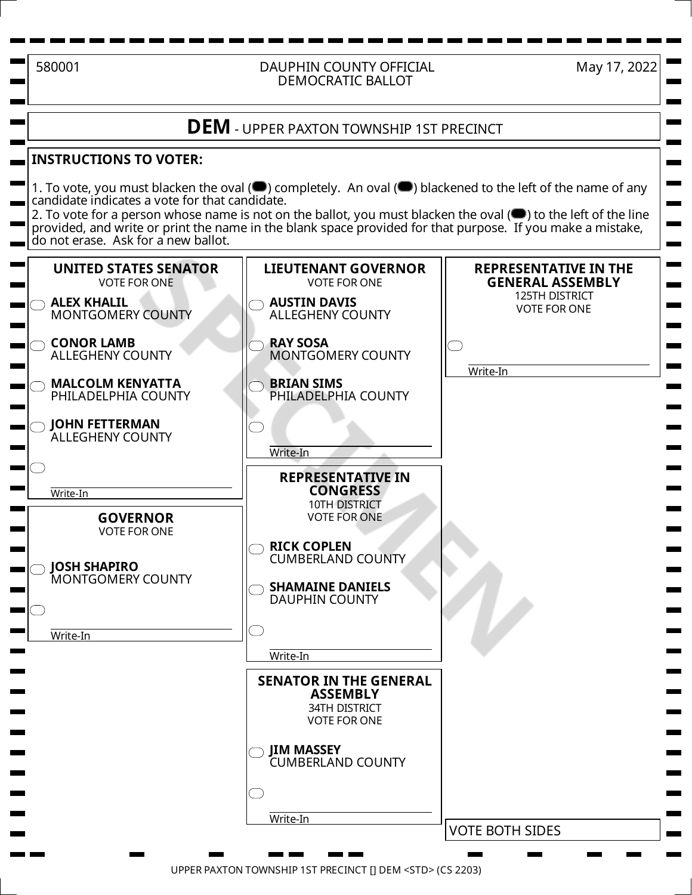## 580001 DAUPHIN COUNTY OFFICIAL DEMOCRATIC BALLOT

May 17, 2022

## **DEM** - UPPER PAXTON TOWNSHIP 1ST PRECINCT

## **INSTRUCTIONS TO VOTER:**

1. To vote, you must blacken the oval ( $\blacksquare$ ) completely. An oval ( $\blacksquare$ ) blackened to the left of the name of any candidate indicates a vote for that candidate.

2. To vote for a person whose name is not on the ballot, you must blacken the oval ( $\blacksquare$ ) to the left of the line provided, and write or print the name in the blank space provided for that purpose. If you make a mistake, do not erase. Ask for a new ballot.

| <b>UNITED STATES SENATOR</b><br><b>VOTE FOR ONE</b> | <b>LIEUTENANT GOVERNOR</b><br><b>VOTE FOR ONE</b>                                               | <b>REPRESENTATIVE IN THE</b><br><b>GENERAL ASSEMBLY</b> |
|-----------------------------------------------------|-------------------------------------------------------------------------------------------------|---------------------------------------------------------|
| <b>ALEX KHALIL</b><br><b>MONTGOMERY COUNTY</b>      | <b>AUSTIN DAVIS</b><br><b>ALLEGHENY COUNTY</b>                                                  | 125TH DISTRICT<br><b>VOTE FOR ONE</b>                   |
| <b>CONOR LAMB</b><br><b>ALLEGHENY COUNTY</b>        | <b>RAY SOSA</b><br><b>MONTGOMERY COUNTY</b>                                                     |                                                         |
| <b>MALCOLM KENYATTA</b><br>PHILADELPHIA COUNTY      | <b>BRIAN SIMS</b><br>PHILADELPHIA COUNTY                                                        | Write-In                                                |
| <b>JOHN FETTERMAN</b><br>ALLEGHENY COUNTY           |                                                                                                 |                                                         |
|                                                     | Write-In<br><b>REPRESENTATIVE IN</b>                                                            |                                                         |
| Write-In                                            | <b>CONGRESS</b><br>10TH DISTRICT                                                                |                                                         |
| <b>GOVERNOR</b><br><b>VOTE FOR ONE</b>              | <b>VOTE FOR ONE</b>                                                                             |                                                         |
| <b>JOSH SHAPIRO</b>                                 | <b>RICK COPLEN</b><br><b>CUMBERLAND COUNTY</b>                                                  |                                                         |
| MONTGOMERY COUNTY                                   | <b>SHAMAINE DANIELS</b><br><b>DAUPHIN COUNTY</b>                                                |                                                         |
| Write-In                                            |                                                                                                 |                                                         |
|                                                     | Write-In                                                                                        |                                                         |
|                                                     | <b>SENATOR IN THE GENERAL</b><br><b>ASSEMBLY</b><br><b>34TH DISTRICT</b><br><b>VOTE FOR ONE</b> |                                                         |
|                                                     | <b>JIM MASSEY</b><br><b>CUMBERLAND COUNTY</b>                                                   |                                                         |
|                                                     |                                                                                                 |                                                         |
|                                                     | Write-In                                                                                        | <b>VOTE BOTH SIDES</b>                                  |